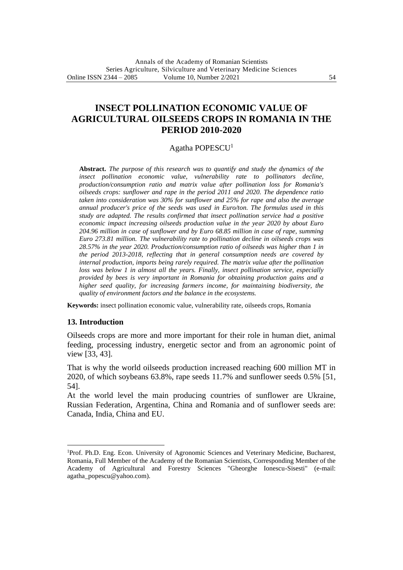# **INSECT POLLINATION ECONOMIC VALUE OF AGRICULTURAL OILSEEDS CROPS IN ROMANIA IN THE PERIOD 2010-2020**

## Agatha POPESCU<sup>1</sup>

**Abstract.** *The purpose of this research was to quantify and study the dynamics of the insect pollination economic value, vulnerability rate to pollinators decline, production/consumption ratio and matrix value after pollination loss for Romania's oilseeds crops: sunflower and rape in the period 2011 and 2020. The dependence ratio taken into consideration was 30% for sunflower and 25% for rape and also the average annual producer's price of the seeds was used in Euro/ton. The formulas used in this study are adapted. The results confirmed that insect pollination service had a positive economic impact increasing oilseeds production value in the year 2020 by about Euro 204.96 million in case of sunflower and by Euro 68.85 million in case of rape, summing Euro 273.81 million. The vulnerability rate to pollination decline in oilseeds crops was 28.57% in the year 2020. Production/consumption ratio of oilseeds was higher than 1 in the period 2013-2018, reflecting that in general consumption needs are covered by internal production, imports being rarely required. The matrix value after the pollination loss was below 1 in almost all the years. Finally, insect pollination service, especially provided by bees is very important in Romania for obtaining production gains and a higher seed quality, for increasing farmers income, for maintaining biodiversity, the quality of environment factors and the balance in the ecosystems.*

**Keywords:** insect pollination economic value, vulnerability rate, oilseeds crops, Romania

## **13. Introduction**

Oilseeds crops are more and more important for their role in human diet, animal feeding, processing industry, energetic sector and from an agronomic point of view [33, 43].

That is why the world oilseeds production increased reaching 600 million MT in 2020, of which soybeans 63.8%, rape seeds 11.7% and sunflower seeds 0.5% [51, 54].

At the world level the main producing countries of sunflower are Ukraine, Russian Federation, Argentina, China and Romania and of sunflower seeds are: Canada, India, China and EU.

<sup>1</sup>Prof. Ph.D. Eng. Econ. University of Agronomic Sciences and Veterinary Medicine, Bucharest, Romania, Full Member of the Academy of the Romanian Scientists, Corresponding Member of the Academy of Agricultural and Forestry Sciences "Gheorghe Ionescu-Sisesti" (e-mail: agatha\_popescu@yahoo.com).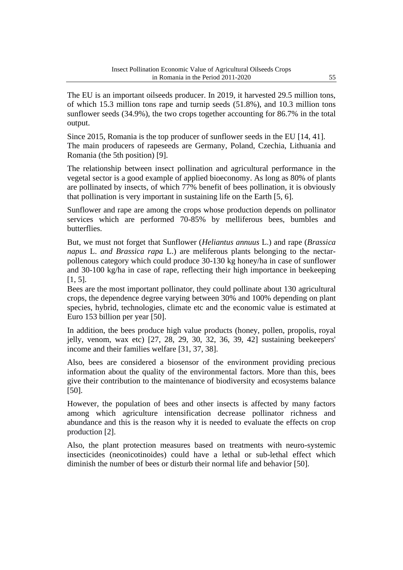The EU is an important oilseeds producer. In 2019, it harvested 29.5 million tons, of which 15.3 million tons rape and turnip seeds (51.8%), and 10.3 million tons sunflower seeds (34.9%), the two crops together accounting for 86.7% in the total output.

Since 2015, Romania is the top producer of sunflower seeds in the EU [14, 41]. The main producers of rapeseeds are Germany, Poland, Czechia, Lithuania and Romania (the 5th position) [9].

The relationship between insect pollination and agricultural performance in the vegetal sector is a good example of applied bioeconomy. As long as 80% of plants are pollinated by insects, of which 77% benefit of bees pollination, it is obviously that pollination is very important in sustaining life on the Earth [5, 6].

Sunflower and rape are among the crops whose production depends on pollinator services which are performed 70-85% by melliferous bees, bumbles and butterflies.

But, we must not forget that Sunflower (*Heliantus annuus* L.) and rape (*Brassica napus* L. *and Brassica rapa* L.) are meliferous plants belonging to the nectarpollenous category which could produce 30-130 kg honey/ha in case of sunflower and 30-100 kg/ha in case of rape, reflecting their high importance in beekeeping [1, 5].

Bees are the most important pollinator, they could pollinate about 130 agricultural crops, the dependence degree varying between 30% and 100% depending on plant species, hybrid, technologies, climate etc and the economic value is estimated at Euro 153 billion per year [50].

In addition, the bees produce high value products (honey, pollen, propolis, royal jelly, venom, wax etc) [27, 28, 29, 30, 32, 36, 39, 42] sustaining beekeepers' income and their families welfare [31, 37, 38].

Also, bees are considered a biosensor of the environment providing precious information about the quality of the environmental factors. More than this, bees give their contribution to the maintenance of biodiversity and ecosystems balance [50].

However, the population of bees and other insects is affected by many factors among which agriculture intensification decrease pollinator richness and abundance and this is the reason why it is needed to evaluate the effects on crop production [2].

Also, the plant protection measures based on treatments with neuro-systemic insecticides (neonicotinoides) could have a lethal or sub-lethal effect which diminish the number of bees or disturb their normal life and behavior [50].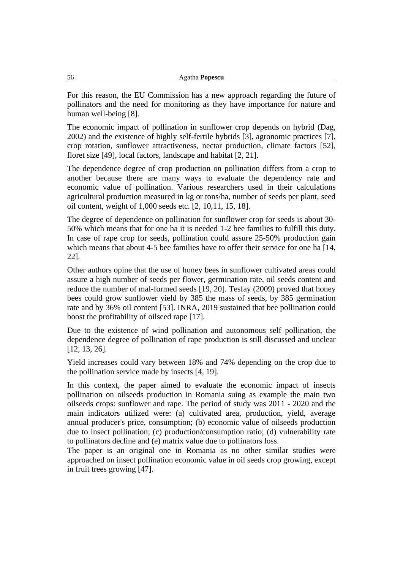For this reason, the EU Commission has a new approach regarding the future of pollinators and the need for monitoring as they have importance for nature and human well-being [8].

The economic impact of pollination in sunflower crop depends on hybrid (Dag, 2002) and the existence of highly self-fertile hybrids [3], agronomic practices [7], crop rotation, sunflower attractiveness, nectar production, climate factors [52], floret size [49], local factors, landscape and habitat [2, 21].

The dependence degree of crop production on pollination differs from a crop to another because there are many ways to evaluate the dependency rate and economic value of pollination. Various researchers used in their calculations agricultural production measured in kg or tons/ha, number of seeds per plant, seed oil content, weight of 1,000 seeds etc. [2, 10,11, 15, 18].

The degree of dependence on pollination for sunflower crop for seeds is about 30- 50% which means that for one ha it is needed 1-2 bee families to fulfill this duty. In case of rape crop for seeds, pollination could assure 25-50% production gain which means that about 4-5 bee families have to offer their service for one ha [14, 22].

Other authors opine that the use of honey bees in sunflower cultivated areas could assure a high number of seeds per flower, germination rate, oil seeds content and reduce the number of mal-formed seeds [19, 20]. Tesfay (2009) proved that honey bees could grow sunflower yield by 385 the mass of seeds, by 385 germination rate and by 36% oil content [53]. INRA, 2019 sustained that bee pollination could boost the profitability of oilseed rape [17].

Due to the existence of wind pollination and autonomous self pollination, the dependence degree of pollination of rape production is still discussed and unclear [12, 13, 26].

Yield increases could vary between 18% and 74% depending on the crop due to the pollination service made by insects [4, 19].

In this context, the paper aimed to evaluate the economic impact of insects pollination on oilseeds production in Romania suing as example the main two oilseeds crops: sunflower and rape. The period of study was 2011 - 2020 and the main indicators utilized were: (a) cultivated area, production, yield, average annual producer's price, consumption; (b) economic value of oilseeds production due to insect pollination; (c) production/consumption ratio; (d) vulnerability rate to pollinators decline and (e) matrix value due to pollinators loss.

The paper is an original one in Romania as no other similar studies were approached on insect pollination economic value in oil seeds crop growing, except in fruit trees growing [47].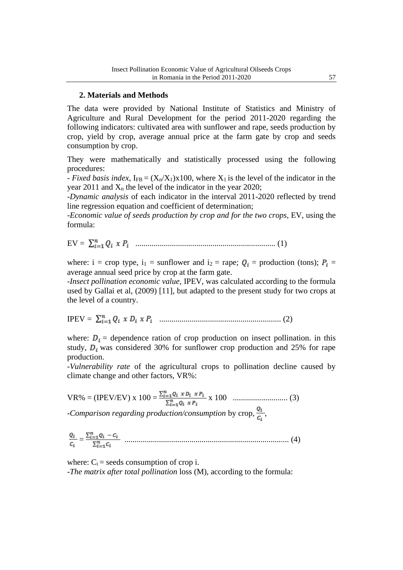## **2. Materials and Methods**

The data were provided by National Institute of Statistics and Ministry of Agriculture and Rural Development for the period 2011-2020 regarding the following indicators: cultivated area with sunflower and rape, seeds production by crop, yield by crop, average annual price at the farm gate by crop and seeds consumption by crop.

They were mathematically and statistically processed using the following procedures:

- *Fixed basis index*,  $I_{FB} = (X_n/X_1)x100$ , where  $X_1$  is the level of the indicator in the year 2011 and  $X_n$  the level of the indicator in the year 2020;

-*Dynamic analysis* of each indicator in the interval 2011-2020 reflected by trend line regression equation and coefficient of determination;

-*Economic value of seeds production by crop and for the two crops*, EV, using the formula:

EV = ..................................................................... (1)

where: i = crop type, i<sub>1</sub> = sunflower and i<sub>2</sub> = rape;  $Q_i$  = production (tons);  $P_i$  = average annual seed price by crop at the farm gate.

-*Insect pollination economic value*, IPEV, was calculated according to the formula used by Gallai et al, (2009) [11], but adapted to the present study for two crops at the level of a country.

IPEV = ............................................................ (2)

where:  $D_i$  = dependence ration of crop production on insect pollination. in this study,  $D_i$  was considered 30% for sunflower crop production and 25% for rape production.

-*Vulnerability rate* of the agricultural crops to pollination decline caused by climate change and other factors, VR%:

VR% = (IPEV/EV) x 100 = x 100 ........................... (3) *-Comparison regarding production/consumption* by crop,  $\frac{Q_i}{C_i}$ ,

= ................................................................................. (4)

where:  $C_i$  = seeds consumption of crop i. -*The matrix after total pollination* loss (M), according to the formula: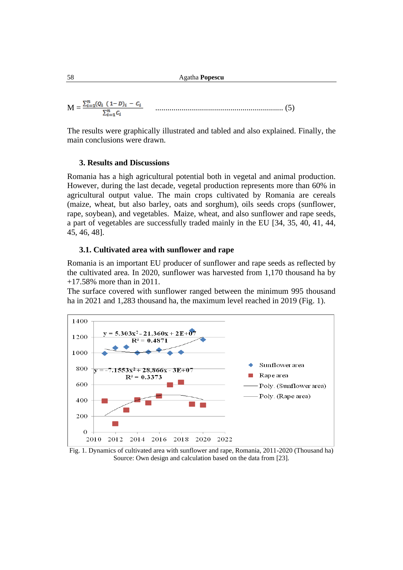58 Agatha **Popescu**

 $M = \frac{\sum_{i=1}^{n} (Q_i \ (1-D)_i - C_i}{\sum_{i=1}^{n} C_i} \qquad \dots \dots \dots \dots \dots \dots \dots \dots \dots \dots \dots \dots \dots \dots \dots \tag{5}$ 

The results were graphically illustrated and tabled and also explained. Finally, the main conclusions were drawn.

## **3. Results and Discussions**

Romania has a high agricultural potential both in vegetal and animal production. However, during the last decade, vegetal production represents more than 60% in agricultural output value. The main crops cultivated by Romania are cereals (maize, wheat, but also barley, oats and sorghum), oils seeds crops (sunflower, rape, soybean), and vegetables. Maize, wheat, and also sunflower and rape seeds, a part of vegetables are successfully traded mainly in the EU [34, 35, 40, 41, 44, 45, 46, 48].

## **3.1. Cultivated area with sunflower and rape**

Romania is an important EU producer of sunflower and rape seeds as reflected by the cultivated area. In 2020, sunflower was harvested from 1,170 thousand ha by +17.58% more than in 2011.

The surface covered with sunflower ranged between the minimum 995 thousand ha in 2021 and 1,283 thousand ha, the maximum level reached in 2019 (Fig. 1).



Fig. 1. Dynamics of cultivated area with sunflower and rape, Romania, 2011-2020 (Thousand ha) Source: Own design and calculation based on the data from [23].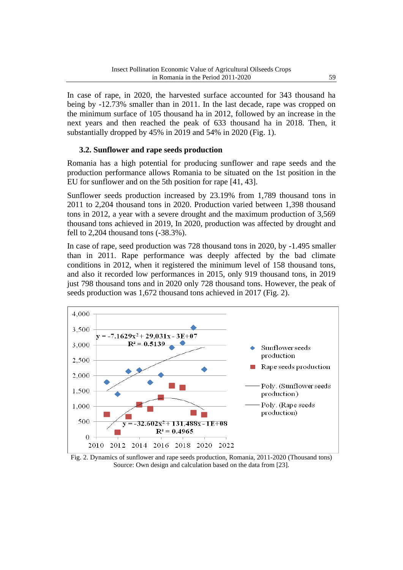In case of rape, in 2020, the harvested surface accounted for 343 thousand ha being by -12.73% smaller than in 2011. In the last decade, rape was cropped on the minimum surface of 105 thousand ha in 2012, followed by an increase in the next years and then reached the peak of 633 thousand ha in 2018. Then, it substantially dropped by 45% in 2019 and 54% in 2020 (Fig. 1).

## **3.2. Sunflower and rape seeds production**

Romania has a high potential for producing sunflower and rape seeds and the production performance allows Romania to be situated on the 1st position in the EU for sunflower and on the 5th position for rape [41, 43].

Sunflower seeds production increased by 23.19% from 1,789 thousand tons in 2011 to 2,204 thousand tons in 2020. Production varied between 1,398 thousand tons in 2012, a year with a severe drought and the maximum production of 3,569 thousand tons achieved in 2019, In 2020, production was affected by drought and fell to 2,204 thousand tons (-38.3%).

In case of rape, seed production was 728 thousand tons in 2020, by -1.495 smaller than in 2011. Rape performance was deeply affected by the bad climate conditions in 2012, when it registered the minimum level of 158 thousand tons, and also it recorded low performances in 2015, only 919 thousand tons, in 2019 just 798 thousand tons and in 2020 only 728 thousand tons. However, the peak of seeds production was 1,672 thousand tons achieved in 2017 (Fig. 2).



Fig. 2. Dynamics of sunflower and rape seeds production, Romania, 2011-2020 (Thousand tons) Source: Own design and calculation based on the data from [23].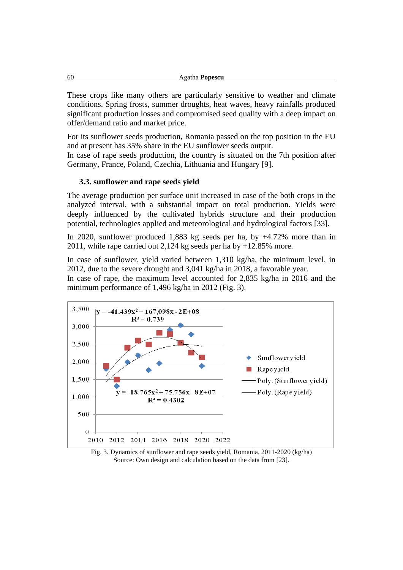These crops like many others are particularly sensitive to weather and climate conditions. Spring frosts, summer droughts, heat waves, heavy rainfalls produced significant production losses and compromised seed quality with a deep impact on offer/demand ratio and market price.

For its sunflower seeds production, Romania passed on the top position in the EU and at present has 35% share in the EU sunflower seeds output.

In case of rape seeds production, the country is situated on the 7th position after Germany, France, Poland, Czechia, Lithuania and Hungary [9].

#### **3.3. sunflower and rape seeds yield**

The average production per surface unit increased in case of the both crops in the analyzed interval, with a substantial impact on total production. Yields were deeply influenced by the cultivated hybrids structure and their production potential, technologies applied and meteorological and hydrological factors [33].

In 2020, sunflower produced 1,883 kg seeds per ha, by +4.72% more than in 2011, while rape carried out 2,124 kg seeds per ha by +12.85% more.

In case of sunflower, yield varied between 1,310 kg/ha, the minimum level, in 2012, due to the severe drought and 3,041 kg/ha in 2018, a favorable year.

In case of rape, the maximum level accounted for 2,835 kg/ha in 2016 and the minimum performance of 1,496 kg/ha in 2012 (Fig. 3).



Fig. 3. Dynamics of sunflower and rape seeds yield, Romania, 2011-2020 (kg/ha) Source: Own design and calculation based on the data from [23].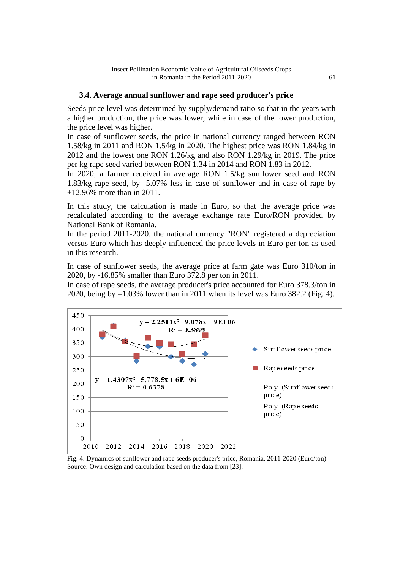## **3.4. Average annual sunflower and rape seed producer's price**

Seeds price level was determined by supply/demand ratio so that in the years with a higher production, the price was lower, while in case of the lower production, the price level was higher.

In case of sunflower seeds, the price in national currency ranged between RON 1.58/kg in 2011 and RON 1.5/kg in 2020. The highest price was RON 1.84/kg in 2012 and the lowest one RON 1.26/kg and also RON 1.29/kg in 2019. The price per kg rape seed varied between RON 1.34 in 2014 and RON 1.83 in 2012.

In 2020, a farmer received in average RON 1.5/kg sunflower seed and RON 1.83/kg rape seed, by -5.07% less in case of sunflower and in case of rape by +12.96% more than in 2011.

In this study, the calculation is made in Euro, so that the average price was recalculated according to the average exchange rate Euro/RON provided by National Bank of Romania.

In the period 2011-2020, the national currency "RON" registered a depreciation versus Euro which has deeply influenced the price levels in Euro per ton as used in this research.

In case of sunflower seeds, the average price at farm gate was Euro 310/ton in 2020, by -16.85% smaller than Euro 372.8 per ton in 2011.

In case of rape seeds, the average producer's price accounted for Euro 378.3/ton in 2020, being by =1.03% lower than in 2011 when its level was Euro 382.2 (Fig. 4).



Fig. 4. Dynamics of sunflower and rape seeds producer's price, Romania, 2011-2020 (Euro/ton) Source: Own design and calculation based on the data from [23].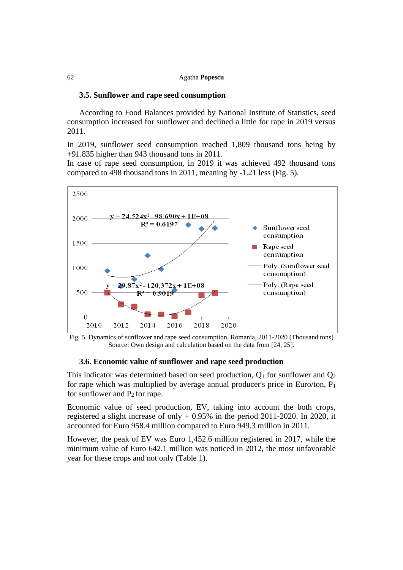#### **3.5. Sunflower and rape seed consumption**

According to Food Balances provided by National Institute of Statistics, seed consumption increased for sunflower and declined a little for rape in 2019 versus 2011.

In 2019, sunflower seed consumption reached 1,809 thousand tons being by +91.835 higher than 943 thousand tons in 2011.

In case of rape seed consumption, in 2019 it was achieved 492 thousand tons compared to 498 thousand tons in 2011, meaning by -1.21 less (Fig. 5).



Fig. 5. Dynamics of sunflower and rape seed consumption, Romania, 2011-2020 (Thousand tons) Source: Own design and calculation based on the data from [24, 25].

#### **3.6. Economic value of sunflower and rape seed production**

This indicator was determined based on seed production,  $Q_1$  for sunflower and  $Q_2$ for rape which was multiplied by average annual producer's price in Euro/ton,  $P_1$ for sunflower and  $P_2$  for rape.

Economic value of seed production, EV, taking into account the both crops, registered a slight increase of only + 0.95% in the period 2011-2020. In 2020, it accounted for Euro 958.4 million compared to Euro 949.3 million in 2011.

However, the peak of EV was Euro 1,452.6 million registered in 2017, while the minimum value of Euro 642.1 million was noticed in 2012, the most unfavorable year for these crops and not only (Table 1).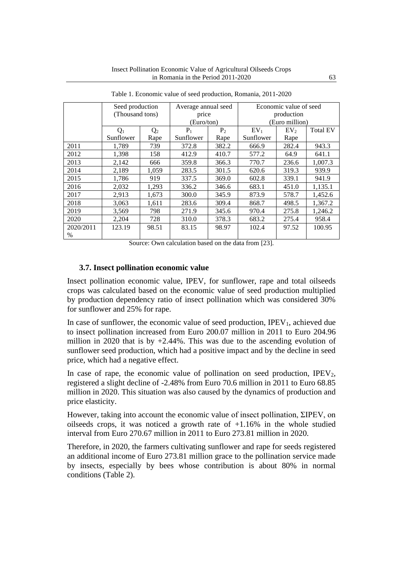|           | Seed production |                | Average annual seed |                | Economic value of seed |                 |                 |
|-----------|-----------------|----------------|---------------------|----------------|------------------------|-----------------|-----------------|
|           | (Thousand tons) |                | price               |                | production             |                 |                 |
|           |                 |                | (Euro/ton)          |                | (Euro million)         |                 |                 |
|           | $Q_1$           | Q <sub>2</sub> | $P_1$               | P <sub>2</sub> | $EV_1$                 | EV <sub>2</sub> | <b>Total EV</b> |
|           | Sunflower       | Rape           | Sunflower           | Rape           | Sunflower              | Rape            |                 |
| 2011      | 1.789           | 739            | 372.8               | 382.2          | 666.9                  | 282.4           | 943.3           |
| 2012      | 1,398           | 158            | 412.9               | 410.7          | 577.2                  | 64.9            | 641.1           |
| 2013      | 2,142           | 666            | 359.8               | 366.3          | 770.7                  | 236.6           | 1.007.3         |
| 2014      | 2,189           | 1.059          | 283.5               | 301.5          | 620.6                  | 319.3           | 939.9           |
| 2015      | 1,786           | 919            | 337.5               | 369.0          | 602.8                  | 339.1           | 941.9           |
| 2016      | 2,032           | 1,293          | 336.2               | 346.6          | 683.1                  | 451.0           | 1,135.1         |
| 2017      | 2,913           | 1,673          | 300.0               | 345.9          | 873.9                  | 578.7           | 1,452.6         |
| 2018      | 3,063           | 1,611          | 283.6               | 309.4          | 868.7                  | 498.5           | 1,367.2         |
| 2019      | 3,569           | 798            | 271.9               | 345.6          | 970.4                  | 275.8           | 1.246.2         |
| 2020      | 2,204           | 728            | 310.0               | 378.3          | 683.2                  | 275.4           | 958.4           |
| 2020/2011 | 123.19          | 98.51          | 83.15               | 98.97          | 102.4                  | 97.52           | 100.95          |
| $\%$      |                 |                |                     |                |                        |                 |                 |

Table 1. Economic value of seed production, Romania, 2011-2020

Source: Own calculation based on the data from [23].

#### **3.7. Insect pollination economic value**

Insect pollination economic value, IPEV, for sunflower, rape and total oilseeds crops was calculated based on the economic value of seed production multiplied by production dependency ratio of insect pollination which was considered 30% for sunflower and 25% for rape.

In case of sunflower, the economic value of seed production, IPEV<sub>1</sub>, achieved due to insect pollination increased from Euro 200.07 million in 2011 to Euro 204.96 million in 2020 that is by  $+2.44\%$ . This was due to the ascending evolution of sunflower seed production, which had a positive impact and by the decline in seed price, which had a negative effect.

In case of rape, the economic value of pollination on seed production,  $IPEV<sub>2</sub>$ , registered a slight decline of -2.48% from Euro 70.6 million in 2011 to Euro 68.85 million in 2020. This situation was also caused by the dynamics of production and price elasticity.

However, taking into account the economic value of insect pollination, ΣIPEV, on oilseeds crops, it was noticed a growth rate of  $+1.16\%$  in the whole studied interval from Euro 270.67 million in 2011 to Euro 273.81 million in 2020.

Therefore, in 2020, the farmers cultivating sunflower and rape for seeds registered an additional income of Euro 273.81 million grace to the pollination service made by insects, especially by bees whose contribution is about 80% in normal conditions (Table 2).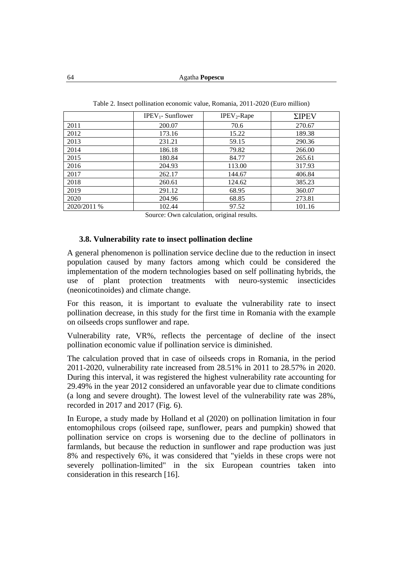|             | $IPEV_1$ - Sunflower | $IPEV2$ -Rape | $\Sigma$ IPEV |
|-------------|----------------------|---------------|---------------|
| 2011        | 200.07               | 70.6          | 270.67        |
| 2012        | 173.16               | 15.22         | 189.38        |
| 2013        | 231.21               | 59.15         | 290.36        |
| 2014        | 186.18               | 79.82         | 266.00        |
| 2015        | 180.84               | 84.77         | 265.61        |
| 2016        | 204.93               | 113.00        | 317.93        |
| 2017        | 262.17               | 144.67        | 406.84        |
| 2018        | 260.61               | 124.62        | 385.23        |
| 2019        | 291.12               | 68.95         | 360.07        |
| 2020        | 204.96               | 68.85         | 273.81        |
| 2020/2011 % | 102.44               | 97.52         | 101.16        |

Table 2. Insect pollination economic value, Romania, 2011-2020 (Euro million)

Source: Own calculation, original results.

#### **3.8. Vulnerability rate to insect pollination decline**

A general phenomenon is pollination service decline due to the reduction in insect population caused by many factors among which could be considered the implementation of the modern technologies based on self pollinating hybrids, the use of plant protection treatments with neuro-systemic insecticides (neonicotinoides) and climate change.

For this reason, it is important to evaluate the vulnerability rate to insect pollination decrease, in this study for the first time in Romania with the example on oilseeds crops sunflower and rape.

Vulnerability rate, VR%, reflects the percentage of decline of the insect pollination economic value if pollination service is diminished.

The calculation proved that in case of oilseeds crops in Romania, in the period 2011-2020, vulnerability rate increased from 28.51% in 2011 to 28.57% in 2020. During this interval, it was registered the highest vulnerability rate accounting for 29.49% in the year 2012 considered an unfavorable year due to climate conditions (a long and severe drought). The lowest level of the vulnerability rate was 28%, recorded in 2017 and 2017 (Fig. 6).

In Europe, a study made by Holland et al (2020) on pollination limitation in four entomophilous crops (oilseed rape, sunflower, pears and pumpkin) showed that pollination service on crops is worsening due to the decline of pollinators in farmlands, but because the reduction in sunflower and rape production was just 8% and respectively 6%, it was considered that "yields in these crops were not severely pollination-limited" in the six European countries taken into consideration in this research [16].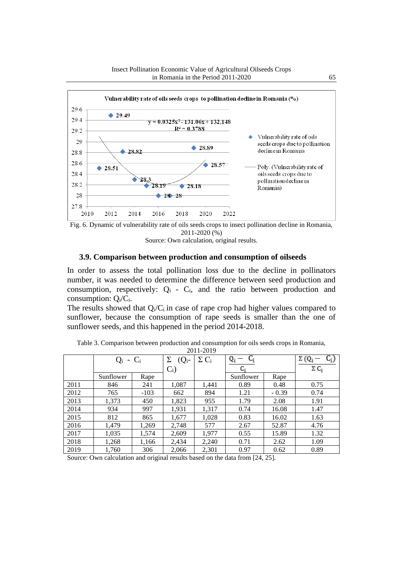



Source: Own calculation, original results.

## **3.9. Comparison between production and consumption of oilseeds**

In order to assess the total pollination loss due to the decline in pollinators number, it was needed to determine the difference between seed production and consumption, respectively:  $Q_i$  -  $C_i$ , and the ratio between production and consumption:  $Q_i/C_i$ .

The results showed that  $Q_i/C_i$  in case of rape crop had higher values compared to sunflower, because the consumption of rape seeds is smaller than the one of sunflower seeds, and this happened in the period 2014-2018.

| 20112017 |               |        |          |              |           |         |              |
|----------|---------------|--------|----------|--------------|-----------|---------|--------------|
|          | $Q_i$ - $C_i$ |        | $(Q_i -$ | $\Sigma C_i$ |           |         | $\Sigma$ (Q  |
|          |               |        | $C_i$    |              | C:        |         | $\Sigma C_i$ |
|          | Sunflower     | Rape   |          |              | Sunflower | Rape    |              |
| 2011     | 846           | 241    | 1,087    | 1,441        | 0.89      | 0.48    | 0.75         |
| 2012     | 765           | $-103$ | 662      | 894          | 1.21      | $-0.39$ | 0.74         |
| 2013     | 1,373         | 450    | 1,823    | 955          | 1.79      | 2.08    | 1.91         |
| 2014     | 934           | 997    | 1,931    | 1,317        | 0.74      | 16.08   | 1.47         |
| 2015     | 812           | 865    | 1,677    | 1,028        | 0.83      | 16.02   | 1.63         |
| 2016     | 1,479         | 1,269  | 2,748    | 577          | 2.67      | 52.87   | 4.76         |
| 2017     | 1,035         | 1,574  | 2,609    | 1,977        | 0.55      | 15.89   | 1.32         |
| 2018     | 1,268         | 1,166  | 2,434    | 2,240        | 0.71      | 2.62    | 1.09         |
| 2019     | 1,760         | 306    | 2,066    | 2,301        | 0.97      | 0.62    | 0.89         |

Table 3. Comparison between production and consumption for oils seeds crops in Romania, 2011-2019

Source: Own calculation and original results based on the data from [24, 25].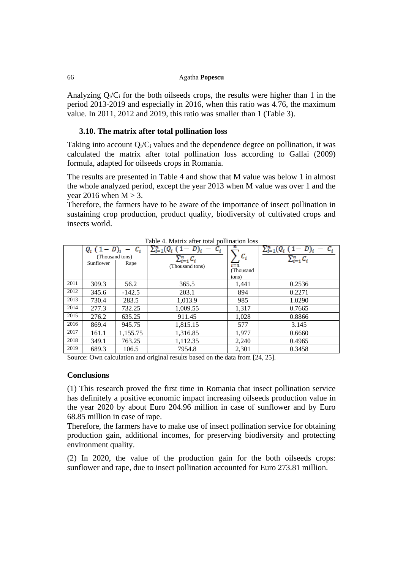| 66 | Agatha Popescu |
|----|----------------|
|----|----------------|

Analyzing  $Q_i/C_i$  for the both oilseeds crops, the results were higher than 1 in the period 2013-2019 and especially in 2016, when this ratio was 4.76, the maximum value. In 2011, 2012 and 2019, this ratio was smaller than 1 (Table 3).

## **3.10. The matrix after total pollination loss**

Taking into account  $Q_i/C_i$  values and the dependence degree on pollination, it was calculated the matrix after total pollination loss according to Gallai (2009) formula, adapted for oilseeds crops in Romania.

The results are presented in Table 4 and show that M value was below 1 in almost the whole analyzed period, except the year 2013 when M value was over 1 and the year 2016 when  $M > 3$ .

Therefore, the farmers have to be aware of the importance of insect pollination in sustaining crop production, product quality, biodiversity of cultivated crops and insects world.

| Table 4. Matrix and will boundarion loss |                                           |                           |                                                                   |                                    |                                                      |  |
|------------------------------------------|-------------------------------------------|---------------------------|-------------------------------------------------------------------|------------------------------------|------------------------------------------------------|--|
|                                          | $Q_i$ (1)<br>(Thousand tons)<br>Sunflower | $c_i$<br>$D)_{i}$<br>Rape | $\sum_{i=1}^n (Q_i)$ (1)<br>$\sum_{i=1}^n C_i$<br>(Thousand tons) | $c_i$<br>i=1<br>(Thousand<br>tons) | $\sum_{i=1}^{n} (Q_i (1-D)_i)$<br>$\sum_{i=1}^n C_i$ |  |
| 2011                                     | 309.3                                     | 56.2                      | 365.5                                                             | 1.441                              | 0.2536                                               |  |
| 2012                                     | 345.6                                     | $-142.5$                  | 203.1                                                             | 894                                | 0.2271                                               |  |
| 2013                                     | 730.4                                     | 283.5                     | 1,013.9                                                           | 985                                | 1.0290                                               |  |
| 2014                                     | 277.3                                     | 732.25                    | 1,009.55                                                          | 1,317                              | 0.7665                                               |  |
| 2015                                     | 276.2                                     | 635.25                    | 911.45                                                            | 1,028                              | 0.8866                                               |  |
| 2016                                     | 869.4                                     | 945.75                    | 1,815.15                                                          | 577                                | 3.145                                                |  |
| 2017                                     | 161.1                                     | 1,155.75                  | 1,316.85                                                          | 1,977                              | 0.6660                                               |  |
| 2018                                     | 349.1                                     | 763.25                    | 1,112.35                                                          | 2,240                              | 0.4965                                               |  |
| 2019                                     | 689.3                                     | 106.5                     | 7954.8                                                            | 2,301                              | 0.3458                                               |  |

Table 4. Matrix after total pollination loss

Source: Own calculation and original results based on the data from [24, 25].

## **Conclusions**

(1) This research proved the first time in Romania that insect pollination service has definitely a positive economic impact increasing oilseeds production value in the year 2020 by about Euro 204.96 million in case of sunflower and by Euro 68.85 million in case of rape.

Therefore, the farmers have to make use of insect pollination service for obtaining production gain, additional incomes, for preserving biodiversity and protecting environment quality.

(2) In 2020, the value of the production gain for the both oilseeds crops: sunflower and rape, due to insect pollination accounted for Euro 273.81 million.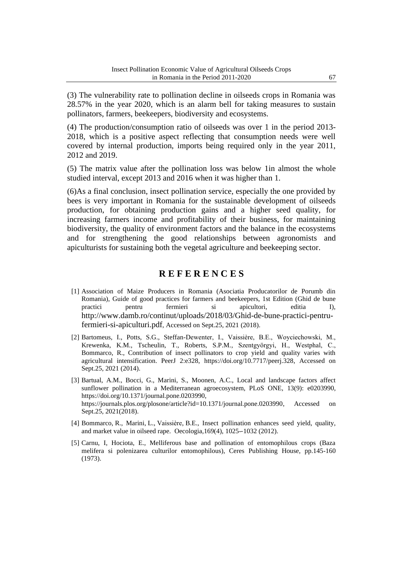(3) The vulnerability rate to pollination decline in oilseeds crops in Romania was 28.57% in the year 2020, which is an alarm bell for taking measures to sustain pollinators, farmers, beekeepers, biodiversity and ecosystems.

(4) The production/consumption ratio of oilseeds was over 1 in the period 2013- 2018, which is a positive aspect reflecting that consumption needs were well covered by internal production, imports being required only in the year 2011, 2012 and 2019.

(5) The matrix value after the pollination loss was below 1in almost the whole studied interval, except 2013 and 2016 when it was higher than 1.

(6)As a final conclusion, insect pollination service, especially the one provided by bees is very important in Romania for the sustainable development of oilseeds production, for obtaining production gains and a higher seed quality, for increasing farmers income and profitability of their business, for maintaining biodiversity, the quality of environment factors and the balance in the ecosystems and for strengthening the good relationships between agronomists and apiculturists for sustaining both the vegetal agriculture and beekeeping sector.

## **R E F E R E N C E S**

- [1] Association of Maize Producers in Romania (Asociatia Producatorilor de Porumb din Romania), Guide of good practices for farmers and beekeepers, 1st Edition (Ghid de bune practici pentru fermieri si apicultori, editia I), [http://www.damb.ro/continut/uploads/2018/03/Ghid-de-bune-practici-pentru](http://www.damb.ro/continut/uploads/2018/03/Ghid-de-bune-practici-pentru-fermieri-si-apiculturi.pdf)[fermieri-si-apiculturi.pdf](http://www.damb.ro/continut/uploads/2018/03/Ghid-de-bune-practici-pentru-fermieri-si-apiculturi.pdf), Accessed on Sept.25, 2021 (2018).
- [2] Bartomeus, I., Potts, S.G., Steffan-Dewenter, I., Vaissière, B.E., Woyciechowski, M., Krewenka, K.M., Tscheulin, T., Roberts, S.P.M., Szentgyörgyi, H., Westphal, C., Bommarco, R., Contribution of insect pollinators to crop yield and quality varies with agricultural intensification. PeerJ 2:e328, [https://doi.org/10.7717/peerj.328,](https://doi.org/10.7717/peerj.328) Accessed on Sept.25, 2021 (2014).
- [3] Bartual, A.M., Bocci, G., Marini, S., Moonen, A.C., Local and landscape factors affect sunflower pollination in a Mediterranean agroecosystem, PLoS ONE, 13(9): e0203990, [https://doi.org/10.1371/journal.pone.0203990,](https://doi.org/10.1371/journal.pone.0203990) [https://journals.plos.org/plosone/article?id=10.1371/journal.pone.0203990,](https://journals.plos.org/plosone/article?id=10.1371/journal.pone.0203990) Accessed on Sept.25, 2021(2018).
- [4] Bommarco, R., Marini, L., Vaissière, B.E., Insect pollination enhances seed yield, quality, and market value in oilseed rape. Oecologia,169(4), 1025-‐1032 (2012).
- [5] Carnu, I, Hociota, E., Melliferous base and pollination of entomophilous crops (Baza melifera si polenizarea culturilor entomophilous), Ceres Publishing House, pp.145-160 (1973).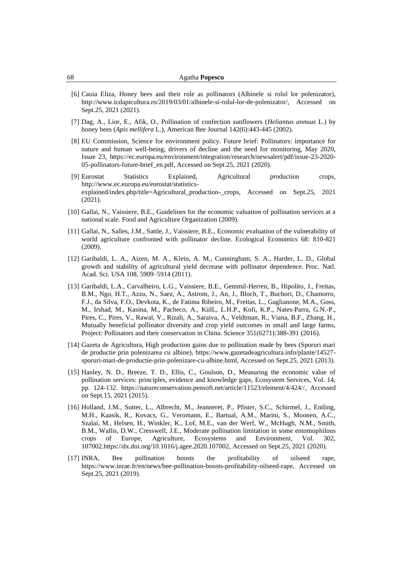| Agatha Popescu |
|----------------|
|                |

- [6] Cauia Eliza, Honey bees and their role as pollinators (Albinele si rolul lor polenizator), [http://www.icdapicultura.ro/2019/03/01/albinele-si-rolul-lor-de-polenizator/,](http://www.icdapicultura.ro/2019/03/01/albinele-si-rolul-lor-de-polenizator/) Accessed on Sept.25, 2021 (2021).
- [7] [Dag,](https://www.researchgate.net/profile/Arnon-Dag?_sg%5B0%5D=a98Bz49uesYWkHQiycF05ex6sT5s7D4ylWiu-w6q5_kJhY-wWzRwQLKTNAe8zqzUpoCM08c.Whd6vkIby2__V-VpQc-18OikXBhoTJKHe193J_vd5BI2ppqsTq6R5jTdxuot_jD7wlWLezZknK2oHl7G9evF1g&_sg%5B1%5D=7jMTQrApQ6Dzoro92MsUo85P8utdQqFVt9LUx7b4QB-wQHKur0FezoA-GqBFqn3m6GCF-os.pSFWk36OnutpMnbcm-B826vt-cqeCMxavTRrc2nQmh3WHmqSxgBYX1xkAlbj7KdtGWuQGPWROZeXRsARR0-0kg) A., [Lior,](https://www.researchgate.net/scientific-contributions/E-Lior-2033213058?_sg%5B0%5D=a98Bz49uesYWkHQiycF05ex6sT5s7D4ylWiu-w6q5_kJhY-wWzRwQLKTNAe8zqzUpoCM08c.Whd6vkIby2__V-VpQc-18OikXBhoTJKHe193J_vd5BI2ppqsTq6R5jTdxuot_jD7wlWLezZknK2oHl7G9evF1g&_sg%5B1%5D=7jMTQrApQ6Dzoro92MsUo85P8utdQqFVt9LUx7b4QB-wQHKur0FezoA-GqBFqn3m6GCF-os.pSFWk36OnutpMnbcm-B826vt-cqeCMxavTRrc2nQmh3WHmqSxgBYX1xkAlbj7KdtGWuQGPWROZeXRsARR0-0kg) E., [Afik,](https://www.researchgate.net/scientific-contributions/Ohad-Afik-35756150?_sg%5B0%5D=a98Bz49uesYWkHQiycF05ex6sT5s7D4ylWiu-w6q5_kJhY-wWzRwQLKTNAe8zqzUpoCM08c.Whd6vkIby2__V-VpQc-18OikXBhoTJKHe193J_vd5BI2ppqsTq6R5jTdxuot_jD7wlWLezZknK2oHl7G9evF1g&_sg%5B1%5D=7jMTQrApQ6Dzoro92MsUo85P8utdQqFVt9LUx7b4QB-wQHKur0FezoA-GqBFqn3m6GCF-os.pSFWk36OnutpMnbcm-B826vt-cqeCMxavTRrc2nQmh3WHmqSxgBYX1xkAlbj7KdtGWuQGPWROZeXRsARR0-0kg) O., Pollination of confection sunflowers (*Heliantus annuus* L.) by honey bees (*Apis mellifera* L.), American Bee Journal 142(6):443-445 (2002).
- [8] EU Commission, Science for environment policy. Future brief: Pollinators: importance for nature and human well-being, drivers of decline and the need for monitoring, May 2020, Issue 23, [https://ec.europa.eu/environment/integration/research/newsalert/pdf/issue-23-2020-](https://ec.europa.eu/environment/integration/research/newsalert/pdf/issue-23-2020-05-pollinators-future-brief_en.pdf) [05-pollinators-future-brief\\_en.pdf,](https://ec.europa.eu/environment/integration/research/newsalert/pdf/issue-23-2020-05-pollinators-future-brief_en.pdf) Accessed on Sept.25, 2021 (2020).
- [9] Eurostat Statistics Explained, Agricultural production crops, [http://www.ec.europa.eu/eurostat/statistics](http://www.ec.europa.eu/eurostat/statistics-explained/index.php/title=Agricultural_production-_crops)[explained/index.php/title=Agricultural\\_production-\\_crops,](http://www.ec.europa.eu/eurostat/statistics-explained/index.php/title=Agricultural_production-_crops) Accessed on Sept.25, 2021 (2021).
- [10] Gallai, N., Vaissiere, B.E., Guidelines for the economic valuation of pollination services at a national scale. Food and Agriculture Organization (2009).
- [11] Gallai, N., Salles, J.M., Sattle, J., Vaissiere, B.E., Economic evaluation of the vulnerability of world agriculture confronted with pollinator decline. Ecological Economics 68: 810-821 (2009).
- [12] Garibaldi, L. A., Aizen, M. A., Klein, A. M., Cunningham, S. A., Harder, L. D., Global growth and stability of agricultural yield decrease with pollinator dependence. Proc. Natl. Acad. Sci. USA 108, 5909–5914 (2011).
- [13] Garibaldi, L.A., Carvalheiro, L.G., Vaissiere, B.E., Gemmil-Herren, B., Hipolito, J., Freitas, B.M., Ngo, H.T., Azzu, N., Saez, A., Astrom, J., An, J., Bloch, T., Buchori, D., Chamorro, F.J., da Silva, F.O., Devkota, K., de Fatima Ribeiro, M., Freitas, L., Gaglianone, M.A., Goss, M., Irshad, M., Kasina, M., Pacheco, A., KiilL, L.H.P., Kofi, K.P., Nates-Parra, G.N.-P., Pires, C., Pires, V., Rawal, V., Rizali, A., Saraiva, A., Veldtman, R., Viana, B.F., Zhang, H., Mutually beneficial pollinator diversity and crop yield outcomes in small and large farms, Project: Pollinators and their [conservation](https://www.researchgate.net/project/Pollinators-and-their-conservation-in-China) in China. Science 351(6271):388-391 (2016).
- [14] Gazeta de Agricultura, High production gains due to pollination made by bees (Sporuri mari de productie prin polenizarea cu albine), [https://www.gazetadeagricultura.info/plante/14527](https://www.gazetadeagricultura.info/plante/14527-sporuri-mari-de-productie-prin-polenizare-cu-albine.html) [sporuri-mari-de-productie-prin-polenizare-cu-albine.html,](https://www.gazetadeagricultura.info/plante/14527-sporuri-mari-de-productie-prin-polenizare-cu-albine.html) Accessed on Sept.25, 2021 (2013).
- [15] Hanley, N. D., Breeze, T. D., Ellis, C., Goulson, D., Measuring the economic value of pollination services: principles, evidence and knowledge gaps, Ecosystem Services, Vol. 14, pp. 124-132. [https://natureconservation.pensoft.net/article/11523/element/4/424//,](https://natureconservation.pensoft.net/article/11523/element/4/424/) Accessed on Sept.15, 2021 (2015).
- [16] Holland, J.M., Sutter, L., Albrecht, M., Jeanneret, P., Pfister, S.C., Schirmel, J., Entling, M.H., Kaasik, R., Kovacs, G., Veromann, E., Bartual, A.M., Marini, S., Moonen, A.C., Szalai, M., Helsen, H., Winkler, K., Lof, M.E., van der Werf, W., McHugh, N.M., Smith, B.M., Wallis, D.W., Cresswell, J.E., Moderate pollination limitation in some entomophilous crops of Europe, Agriculture, Ecosystems and Environment, Vol. 302, 107002[.https://dx.doi.org/10.1016/j.agee.2020.107002,](https://dx.doi.org/10.1016/j.agee.2020.107002) Accessed on Sept.25, 2021 (2020).
- [17] INRA, Bee pollination boosts the profitability of oilseed rape, [https://www.inrae.fr/en/news/bee-pollination-boosts-profitability-oilseed-rape,](https://www.inrae.fr/en/news/bee-pollination-boosts-profitability-oilseed-rape) Accessed on Sept.25, 2021 (2019).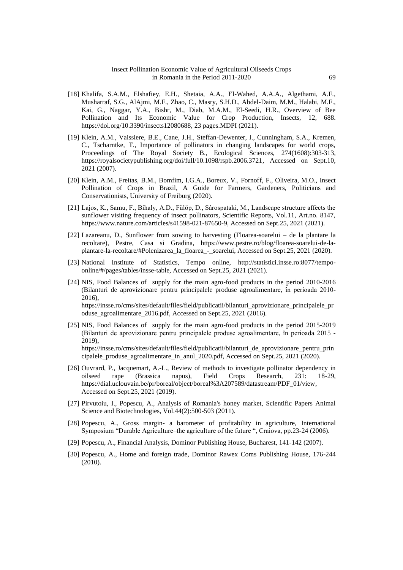- [18] Khalifa, S.A.M., Elshafiey, E.H., Shetaia, A.A., El-Wahed, A.A.A., Algethami, A.F., Musharraf, S.G., AlAjmi, M.F., Zhao, C., Masry, S.H.D., Abdel-Daim, M.M., Halabi, M.F., Kai, G., Naggar, Y.A., Bishr, M., Diab, M.A.M., El-Seedi, H.R., Overview of Bee Pollination and Its Economic Value for Crop Production, Insects, 12, 688. [https://doi.org/10.3390/insects12080688,](https://doi.org/10.3390/insects12080688) 23 pages.MDPI (2021).
- [19] Klein, A.M., Vaissiere, B.E., Cane, J.H., Steffan-Dewenter, I., Cunningham, S.A., Kremen, C., Tscharntke, T., Importance of pollinators in changing landscapes for world crops, Proceedings of The Royal Society B., Ecological Sciences, 274(1608):303-313, [https://royalsocietypublishing.org/doi/full/10.1098/rspb.2006.3721,](https://royalsocietypublishing.org/doi/full/10.1098/rspb.2006.3721) Accessed on Sept.10, 2021 (2007).
- [20] Klein, A.M., Freitas, B.M., Bomfim, I.G.A., Boreux, V., Fornoff, F., Oliveira, M.O., Insect Pollination of Crops in Brazil, A Guide for Farmers, Gardeners, Politicians and Conservationists, University of Freiburg (2020).
- [21] Lajos, K., Samu, F., Bihaly, A.D., Fülöp, D., Sárospataki, M., Landscape structure affects the sunflower visiting frequency of insect pollinators, Scientific Reports, Vol.11, Art.no. 8147, [https://www.nature.com/articles/s41598-021-87650-9,](https://www.nature.com/articles/s41598-021-87650-9) Accessed on Sept.25, 2021 (2021).
- [22] Lazareanu, D., Sunflower from sowing to harvesting (Floarea-soarelui de la plantare la recoltare), Pestre, Casa si Gradina, [https://www.pestre.ro/blog/floarea-soarelui-de-la](https://www.pestre.ro/blog/floarea-soarelui-de-la-plantare-la-recoltare/#Polenizarea_la_floarea_-_soarelui)[plantare-la-recoltare/#Polenizarea\\_la\\_floarea\\_-\\_soarelui,](https://www.pestre.ro/blog/floarea-soarelui-de-la-plantare-la-recoltare/#Polenizarea_la_floarea_-_soarelui) Accessed on Sept.25, 2021 (2020).
- [23] National Institute of Statistics, Tempo online, [http://statistici.insse.ro:8077/tempo](http://statistici.insse.ro:8077/tempo-online/#/pages/tables/insse-table)[online/#/pages/tables/insse-table,](http://statistici.insse.ro:8077/tempo-online/#/pages/tables/insse-table) Accessed on Sept.25, 2021 (2021).
- [24] NIS, Food Balances of supply for the main agro-food products in the period 2010-2016 (Bilanturi de aprovizionare pentru principalele produse agroalimentare, în perioada 2010- 2016), [https://insse.ro/cms/sites/default/files/field/publicatii/bilanturi\\_aprovizionare\\_principalele\\_pr](https://insse.ro/cms/sites/default/files/field/publicatii/bilanturi_aprovizionare_principalele_produse_agroalimentare_2016.pdf) [oduse\\_agroalimentare\\_2016.pdf,](https://insse.ro/cms/sites/default/files/field/publicatii/bilanturi_aprovizionare_principalele_produse_agroalimentare_2016.pdf) Accessed on Sept.25, 2021 (2016).
- [25] NIS, Food Balances of supply for the main agro-food products in the period 2015-2019 (Bilanturi de aprovizionare pentru principalele produse agroalimentare, în perioada 2015 - 2019), [https://insse.ro/cms/sites/default/files/field/publicatii/bilanturi\\_de\\_aprovizionare\\_pentru\\_prin](https://insse.ro/cms/sites/default/files/field/publicatii/bilanturi_de_aprovizionare_pentru_principalele_produse_agroalimentare_in_anul_2020.pdf) [cipalele\\_produse\\_agroalimentare\\_in\\_anul\\_2020.pdf,](https://insse.ro/cms/sites/default/files/field/publicatii/bilanturi_de_aprovizionare_pentru_principalele_produse_agroalimentare_in_anul_2020.pdf) Accessed on Sept.25, 2021 (2020).
- [26] Ouvrard, P., Jacquemart, A.-L., Review of methods to investigate pollinator dependency in oilseed rape (Brassica napus), Field Crops Research, 231: 18-29, [https://dial.uclouvain.be/pr/boreal/object/boreal%3A207589/datastream/PDF\\_01/view,](https://dial.uclouvain.be/pr/boreal/object/boreal%3A207589/datastream/PDF_01/view) Accessed on Sept.25, 2021 (2019).
- [27] Pirvutoiu, I., Popescu, A., Analysis of Romania's honey market, Scientific Papers Animal Science and Biotechnologies, Vol.44(2):500-503 (2011).
- [28] Popescu, A., Gross margin- a barometer of profitability in agriculture, International Symposium "Durable Agriculture–the agriculture of the future ", Craiova, pp.23-24 (2006).
- [29] Popescu, A., Financial Analysis, Dominor Publishing House, Bucharest, 141-142 (2007).
- [30] Popescu, A., Home and foreign trade, Dominor Rawex Coms Publishing House, 176-244 (2010).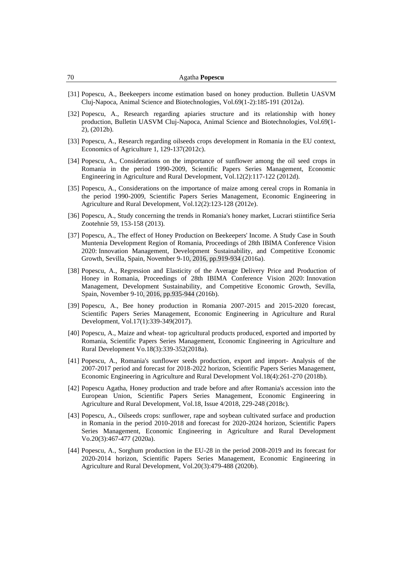| Agatha <b>Popescu</b> |
|-----------------------|
|                       |

- [31] Popescu, A., Beekeepers income estimation based on honey production. Bulletin UASVM Cluj-Napoca, Animal Science and Biotechnologies, Vol.69(1-2):185-191 (2012a).
- [32] Popescu, A., Research regarding apiaries structure and its relationship with honey production, Bulletin UASVM Cluj-Napoca, Animal Science and Biotechnologies, Vol.69(1- 2), (2012b).
- [33] Popescu, A., Research regarding oilseeds crops development in Romania in the EU context, Economics of Agriculture 1, 129-137(2012c).
- [34] Popescu, A., Considerations on the importance of sunflower among the oil seed crops in Romania in the period 1990-2009, Scientific Papers Series Management, Economic Engineering in Agriculture and Rural Development, Vol.12(2):117-122 (2012d).
- [35] Popescu, A., Considerations on the importance of maize among cereal crops in Romania in the period 1990-2009, Scientific Papers Series Management, Economic Engineering in Agriculture and Rural Development, Vol.12(2):123-128 (2012e).
- [36] Popescu, A., Study concerning the trends in Romania's honey market, Lucrari stiintifice Seria Zootehnie 59, 153-158 (2013).
- [37] Popescu, A., The effect of Honey Production on Beekeepers' Income. A Study Case in South Muntenia Development Region of Romania, Proceedings of 28th IBIMA Conference Vision 2020: Innovation Management, Development Sustainability, and Competitive Economic Growth, Sevilla, Spain, November 9-10, 2016, pp.919-934 (2016a).
- [38] Popescu, A., Regression and Elasticity of the Average Delivery Price and Production of Honey in Romania, Proceedings of 28th IBIMA Conference Vision 2020: Innovation Management, Development Sustainability, and Competitive Economic Growth, Sevilla, Spain, November 9-10, 2016, pp.935-944 (2016b).
- [39] Popescu, A., Bee honey production in Romania 2007-2015 and 2015-2020 forecast, Scientific Papers Series Management, Economic Engineering in Agriculture and Rural Development, Vol.17(1):339-349(2017).
- [40] Popescu, A., Maize and wheat- top agricultural products produced, exported and imported by Romania, Scientific Papers Series Management, Economic Engineering in Agriculture and Rural Development Vo.18(3):339-352(2018a).
- [41] Popescu, A., Romania's sunflower seeds production, export and import- Analysis of the 2007-2017 period and forecast for 2018-2022 horizon, Scientific Papers Series Management, Economic Engineering in Agriculture and Rural Development Vol.18(4):261-270 (2018b).
- [42] Popescu Agatha, Honey production and trade before and after Romania's accession into the European Union, Scientific Papers Series Management, Economic Engineering in Agriculture and Rural Development, Vol.18, Issue 4/2018, 229-248 (2018c).
- [43] Popescu, A., Oilseeds crops: sunflower, rape and soybean cultivated surface and production in Romania in the period 2010-2018 and forecast for 2020-2024 horizon, Scientific Papers Series Management, Economic Engineering in Agriculture and Rural Development Vo.20(3):467-477 (2020a).
- [44] Popescu, A., Sorghum production in the EU-28 in the period 2008-2019 and its forecast for 2020-2014 horizon, Scientific Papers Series Management, Economic Engineering in Agriculture and Rural Development, Vol.20(3):479-488 (2020b).